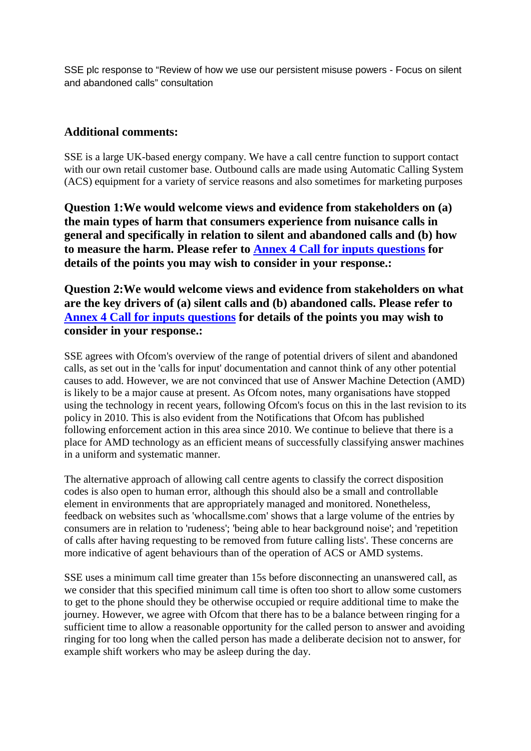SSE plc response to "Review of how we use our persistent misuse powers - Focus on silent and abandoned calls" consultation

## **Additional comments:**

SSE is a large UK-based energy company. We have a call centre function to support contact with our own retail customer base. Outbound calls are made using Automatic Calling System (ACS) equipment for a variety of service reasons and also sometimes for marketing purposes

**Question 1:We would welcome views and evidence from stakeholders on (a) the main types of harm that consumers experience from nuisance calls in general and specifically in relation to silent and abandoned calls and (b) how to measure the harm. Please refer to Annex 4 Call for inputs questions for details of the points you may wish to consider in your response.:**

**Question 2:We would welcome views and evidence from stakeholders on what are the key drivers of (a) silent calls and (b) abandoned calls. Please refer to Annex 4 Call for inputs questions for details of the points you may wish to consider in your response.:**

SSE agrees with Ofcom's overview of the range of potential drivers of silent and abandoned calls, as set out in the 'calls for input' documentation and cannot think of any other potential causes to add. However, we are not convinced that use of Answer Machine Detection (AMD) is likely to be a major cause at present. As Ofcom notes, many organisations have stopped using the technology in recent years, following Ofcom's focus on this in the last revision to its policy in 2010. This is also evident from the Notifications that Ofcom has published following enforcement action in this area since 2010. We continue to believe that there is a place for AMD technology as an efficient means of successfully classifying answer machines in a uniform and systematic manner.

The alternative approach of allowing call centre agents to classify the correct disposition codes is also open to human error, although this should also be a small and controllable element in environments that are appropriately managed and monitored. Nonetheless, feedback on websites such as 'whocallsme.com' shows that a large volume of the entries by consumers are in relation to 'rudeness'; 'being able to hear background noise'; and 'repetition of calls after having requesting to be removed from future calling lists'. These concerns are more indicative of agent behaviours than of the operation of ACS or AMD systems.

SSE uses a minimum call time greater than 15s before disconnecting an unanswered call, as we consider that this specified minimum call time is often too short to allow some customers to get to the phone should they be otherwise occupied or require additional time to make the journey. However, we agree with Ofcom that there has to be a balance between ringing for a sufficient time to allow a reasonable opportunity for the called person to answer and avoiding ringing for too long when the called person has made a deliberate decision not to answer, for example shift workers who may be asleep during the day.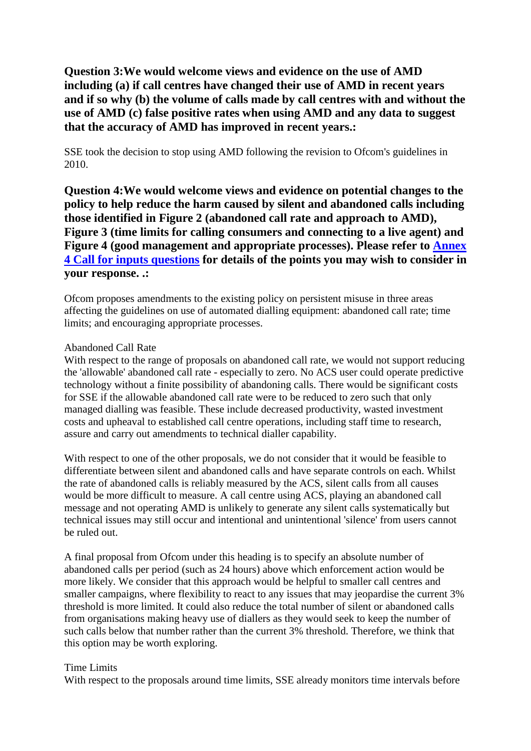**Question 3:We would welcome views and evidence on the use of AMD including (a) if call centres have changed their use of AMD in recent years and if so why (b) the volume of calls made by call centres with and without the use of AMD (c) false positive rates when using AMD and any data to suggest that the accuracy of AMD has improved in recent years.:**

SSE took the decision to stop using AMD following the revision to Ofcom's guidelines in 2010.

**Question 4:We would welcome views and evidence on potential changes to the policy to help reduce the harm caused by silent and abandoned calls including those identified in Figure 2 (abandoned call rate and approach to AMD), Figure 3 (time limits for calling consumers and connecting to a live agent) and Figure 4 (good management and appropriate processes). Please refer to Annex 4 Call for inputs questions for details of the points you may wish to consider in your response. .:**

Ofcom proposes amendments to the existing policy on persistent misuse in three areas affecting the guidelines on use of automated dialling equipment: abandoned call rate; time limits; and encouraging appropriate processes.

## Abandoned Call Rate

With respect to the range of proposals on abandoned call rate, we would not support reducing the 'allowable' abandoned call rate - especially to zero. No ACS user could operate predictive technology without a finite possibility of abandoning calls. There would be significant costs for SSE if the allowable abandoned call rate were to be reduced to zero such that only managed dialling was feasible. These include decreased productivity, wasted investment costs and upheaval to established call centre operations, including staff time to research, assure and carry out amendments to technical dialler capability.

With respect to one of the other proposals, we do not consider that it would be feasible to differentiate between silent and abandoned calls and have separate controls on each. Whilst the rate of abandoned calls is reliably measured by the ACS, silent calls from all causes would be more difficult to measure. A call centre using ACS, playing an abandoned call message and not operating AMD is unlikely to generate any silent calls systematically but technical issues may still occur and intentional and unintentional 'silence' from users cannot be ruled out.

A final proposal from Ofcom under this heading is to specify an absolute number of abandoned calls per period (such as 24 hours) above which enforcement action would be more likely. We consider that this approach would be helpful to smaller call centres and smaller campaigns, where flexibility to react to any issues that may jeopardise the current 3% threshold is more limited. It could also reduce the total number of silent or abandoned calls from organisations making heavy use of diallers as they would seek to keep the number of such calls below that number rather than the current 3% threshold. Therefore, we think that this option may be worth exploring.

## Time Limits

With respect to the proposals around time limits, SSE already monitors time intervals before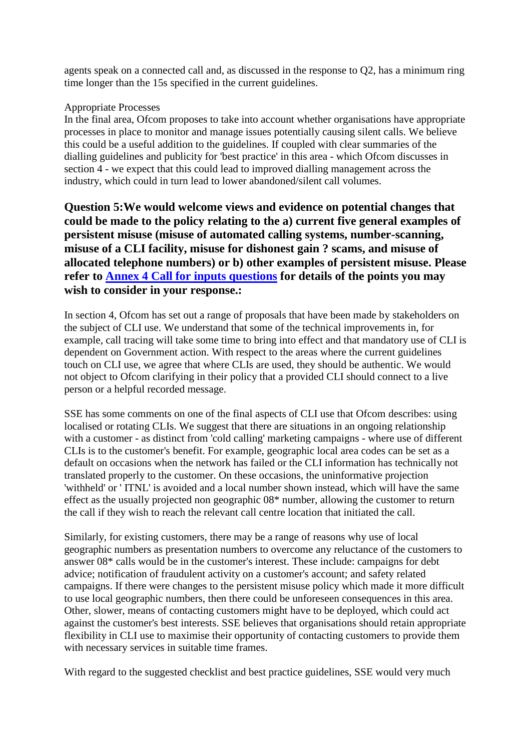agents speak on a connected call and, as discussed in the response to Q2, has a minimum ring time longer than the 15s specified in the current guidelines.

## Appropriate Processes

In the final area, Ofcom proposes to take into account whether organisations have appropriate processes in place to monitor and manage issues potentially causing silent calls. We believe this could be a useful addition to the guidelines. If coupled with clear summaries of the dialling guidelines and publicity for 'best practice' in this area - which Ofcom discusses in section 4 - we expect that this could lead to improved dialling management across the industry, which could in turn lead to lower abandoned/silent call volumes.

**Question 5:We would welcome views and evidence on potential changes that could be made to the policy relating to the a) current five general examples of persistent misuse (misuse of automated calling systems, number-scanning, misuse of a CLI facility, misuse for dishonest gain ? scams, and misuse of allocated telephone numbers) or b) other examples of persistent misuse. Please refer to Annex 4 Call for inputs questions for details of the points you may wish to consider in your response.:**

In section 4, Ofcom has set out a range of proposals that have been made by stakeholders on the subject of CLI use. We understand that some of the technical improvements in, for example, call tracing will take some time to bring into effect and that mandatory use of CLI is dependent on Government action. With respect to the areas where the current guidelines touch on CLI use, we agree that where CLIs are used, they should be authentic. We would not object to Ofcom clarifying in their policy that a provided CLI should connect to a live person or a helpful recorded message.

SSE has some comments on one of the final aspects of CLI use that Ofcom describes: using localised or rotating CLIs. We suggest that there are situations in an ongoing relationship with a customer - as distinct from 'cold calling' marketing campaigns - where use of different CLIs is to the customer's benefit. For example, geographic local area codes can be set as a default on occasions when the network has failed or the CLI information has technically not translated properly to the customer. On these occasions, the uninformative projection 'withheld' or ' ITNL' is avoided and a local number shown instead, which will have the same effect as the usually projected non geographic 08\* number, allowing the customer to return the call if they wish to reach the relevant call centre location that initiated the call.

Similarly, for existing customers, there may be a range of reasons why use of local geographic numbers as presentation numbers to overcome any reluctance of the customers to answer 08\* calls would be in the customer's interest. These include: campaigns for debt advice; notification of fraudulent activity on a customer's account; and safety related campaigns. If there were changes to the persistent misuse policy which made it more difficult to use local geographic numbers, then there could be unforeseen consequences in this area. Other, slower, means of contacting customers might have to be deployed, which could act against the customer's best interests. SSE believes that organisations should retain appropriate flexibility in CLI use to maximise their opportunity of contacting customers to provide them with necessary services in suitable time frames.

With regard to the suggested checklist and best practice guidelines, SSE would very much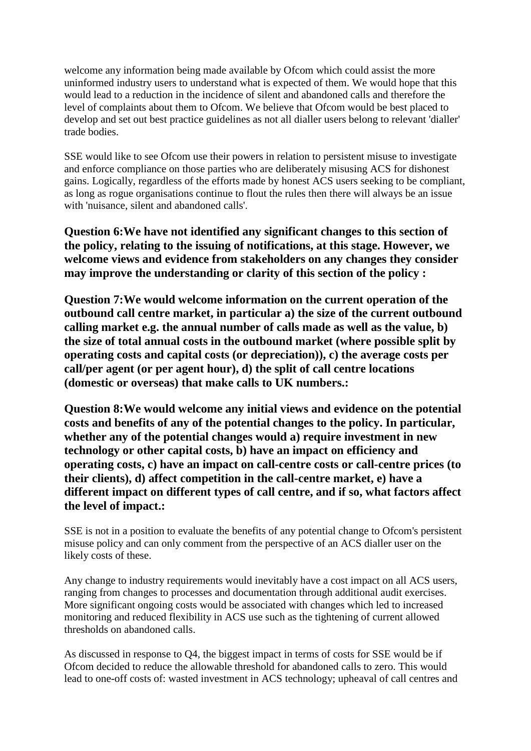welcome any information being made available by Ofcom which could assist the more uninformed industry users to understand what is expected of them. We would hope that this would lead to a reduction in the incidence of silent and abandoned calls and therefore the level of complaints about them to Ofcom. We believe that Ofcom would be best placed to develop and set out best practice guidelines as not all dialler users belong to relevant 'dialler' trade bodies.

SSE would like to see Ofcom use their powers in relation to persistent misuse to investigate and enforce compliance on those parties who are deliberately misusing ACS for dishonest gains. Logically, regardless of the efforts made by honest ACS users seeking to be compliant, as long as rogue organisations continue to flout the rules then there will always be an issue with 'nuisance, silent and abandoned calls'.

**Question 6:We have not identified any significant changes to this section of the policy, relating to the issuing of notifications, at this stage. However, we welcome views and evidence from stakeholders on any changes they consider may improve the understanding or clarity of this section of the policy :**

**Question 7:We would welcome information on the current operation of the outbound call centre market, in particular a) the size of the current outbound calling market e.g. the annual number of calls made as well as the value, b) the size of total annual costs in the outbound market (where possible split by operating costs and capital costs (or depreciation)), c) the average costs per call/per agent (or per agent hour), d) the split of call centre locations (domestic or overseas) that make calls to UK numbers.:**

**Question 8:We would welcome any initial views and evidence on the potential costs and benefits of any of the potential changes to the policy. In particular, whether any of the potential changes would a) require investment in new technology or other capital costs, b) have an impact on efficiency and operating costs, c) have an impact on call-centre costs or call-centre prices (to their clients), d) affect competition in the call-centre market, e) have a different impact on different types of call centre, and if so, what factors affect the level of impact.:**

SSE is not in a position to evaluate the benefits of any potential change to Ofcom's persistent misuse policy and can only comment from the perspective of an ACS dialler user on the likely costs of these.

Any change to industry requirements would inevitably have a cost impact on all ACS users, ranging from changes to processes and documentation through additional audit exercises. More significant ongoing costs would be associated with changes which led to increased monitoring and reduced flexibility in ACS use such as the tightening of current allowed thresholds on abandoned calls.

As discussed in response to Q4, the biggest impact in terms of costs for SSE would be if Ofcom decided to reduce the allowable threshold for abandoned calls to zero. This would lead to one-off costs of: wasted investment in ACS technology; upheaval of call centres and